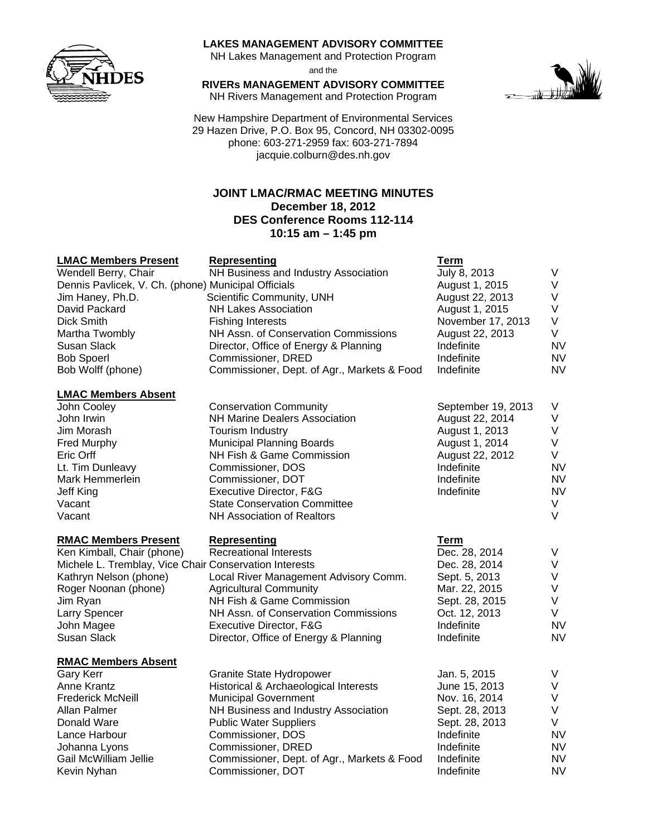

#### **LAKES MANAGEMENT ADVISORY COMMITTEE**

NH Lakes Management and Protection Program and the

**RIVERs MANAGEMENT ADVISORY COMMITTEE**  NH Rivers Management and Protection Program

New Hampshire Department of Environmental Services 29 Hazen Drive, P.O. Box 95, Concord, NH 03302-0095 phone: 603-271-2959 fax: 603-271-7894 jacquie.colburn@des.nh.gov

# **JOINT LMAC/RMAC MEETING MINUTES December 18, 2012 DES Conference Rooms 112-114 10:15 am – 1:45 pm**

#### **LMAC Members Present Representing Term**

| Wendell Berry, Chair                                | NH Business and Industry Association        | July 8, 2013      |           |
|-----------------------------------------------------|---------------------------------------------|-------------------|-----------|
| Dennis Pavlicek, V. Ch. (phone) Municipal Officials |                                             | August 1, 2015    |           |
| Jim Haney, Ph.D.                                    | Scientific Community, UNH                   | August 22, 2013   |           |
| David Packard                                       | <b>NH Lakes Association</b>                 | August 1, 2015    |           |
| Dick Smith                                          | <b>Fishing Interests</b>                    | November 17, 2013 | V         |
| Martha Twombly                                      | NH Assn. of Conservation Commissions        | August 22, 2013   | V         |
| Susan Slack                                         | Director, Office of Energy & Planning       | Indefinite        | NV        |
| <b>Bob Spoerl</b>                                   | Commissioner, DRED                          | Indefinite        | <b>NV</b> |
| Bob Wolff (phone)                                   | Commissioner, Dept. of Agr., Markets & Food | Indefinite        | NV.       |
|                                                     |                                             |                   |           |

#### **LMAC Members Absent**

#### **RMAC Members Present Representing Term**

# **RMAC Members Absent**

| <b>LINAY INCHINGLE ANSCHI</b> |                                      |                    |           |
|-------------------------------|--------------------------------------|--------------------|-----------|
| John Cooley                   | <b>Conservation Community</b>        | September 19, 2013 | V         |
| John Irwin                    | <b>NH Marine Dealers Association</b> | August 22, 2014    |           |
| Jim Morash                    | Tourism Industry                     | August 1, 2013     |           |
| <b>Fred Murphy</b>            | <b>Municipal Planning Boards</b>     | August 1, 2014     |           |
| Eric Orff                     | NH Fish & Game Commission            | August 22, 2012    | V         |
| Lt. Tim Dunleavy              | Commissioner, DOS                    | Indefinite         | NV.       |
| Mark Hemmerlein               | Commissioner, DOT                    | Indefinite         | <b>NV</b> |
| Jeff King                     | Executive Director, F&G              | Indefinite         | NV        |
| Vacant                        | <b>State Conservation Committee</b>  |                    |           |
| Vacant                        | NH Association of Realtors           |                    |           |
|                               |                                      |                    |           |

Ken Kimball, Chair (phone) Becreational Interests Chair Chec. 28, 2014 V Michele L. Tremblay, Vice Chair Conservation Interests **Dec. 28, 2014** V Kathryn Nelson (phone) Local River Management Advisory Comm. Sept. 5, 2013 V Roger Noonan (phone) Agricultural Community Mar. 22, 2015 V Jim Ryan NH Fish & Game Commission Sept. 28, 2015 V Larry Spencer NH Assn. of Conservation Commissions Oct. 12, 2013 V John Magee **Executive Director, F&G** Indefinite NV Susan Slack **Director, Office of Energy & Planning Conduct AV** Indefinite NV

| Gary Kerr                           | <b>Granite State Hydropower</b>             | Jan. 5, 2015   |           |
|-------------------------------------|---------------------------------------------|----------------|-----------|
| Anne Krantz                         | Historical & Archaeological Interests       | June 15, 2013  |           |
| <b>Frederick McNeill</b>            | <b>Municipal Government</b>                 | Nov. 16, 2014  |           |
| Allan Palmer                        | NH Business and Industry Association        | Sept. 28, 2013 |           |
| Donald Ware                         | <b>Public Water Suppliers</b>               | Sept. 28, 2013 |           |
| Lance Harbour                       | Commissioner, DOS                           | Indefinite     | <b>NV</b> |
| Commissioner, DRED<br>Johanna Lyons |                                             | Indefinite     | <b>NV</b> |
| Gail McWilliam Jellie               | Commissioner, Dept. of Agr., Markets & Food | Indefinite     | <b>NV</b> |
| Kevin Nyhan                         | Commissioner, DOT                           | Indefinite     | <b>NV</b> |

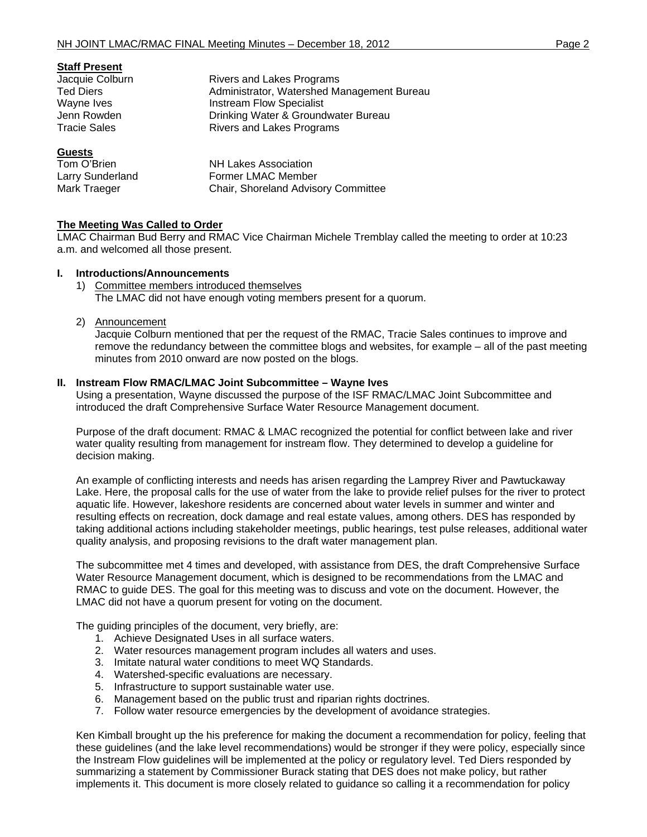| Rivers and Lakes Programs                        |  |
|--------------------------------------------------|--|
| Administrator, Watershed Management Bureau       |  |
| <b>Instream Flow Specialist</b>                  |  |
| Drinking Water & Groundwater Bureau              |  |
| Rivers and Lakes Programs<br><b>Tracie Sales</b> |  |
|                                                  |  |
|                                                  |  |

| Tom O'Brien      | <b>NH Lakes Association</b>         |
|------------------|-------------------------------------|
| Larry Sunderland | Former LMAC Member                  |
| Mark Traeger     | Chair, Shoreland Advisory Committee |

### **The Meeting Was Called to Order**

LMAC Chairman Bud Berry and RMAC Vice Chairman Michele Tremblay called the meeting to order at 10:23 a.m. and welcomed all those present.

#### **I. Introductions/Announcements**

- 1) Committee members introduced themselves The LMAC did not have enough voting members present for a quorum.
- 2) Announcement

Jacquie Colburn mentioned that per the request of the RMAC, Tracie Sales continues to improve and remove the redundancy between the committee blogs and websites, for example – all of the past meeting minutes from 2010 onward are now posted on the blogs.

### **II. Instream Flow RMAC/LMAC Joint Subcommittee – Wayne Ives**

Using a presentation, Wayne discussed the purpose of the ISF RMAC/LMAC Joint Subcommittee and introduced the draft Comprehensive Surface Water Resource Management document.

Purpose of the draft document: RMAC & LMAC recognized the potential for conflict between lake and river water quality resulting from management for instream flow. They determined to develop a guideline for decision making.

An example of conflicting interests and needs has arisen regarding the Lamprey River and Pawtuckaway Lake. Here, the proposal calls for the use of water from the lake to provide relief pulses for the river to protect aquatic life. However, lakeshore residents are concerned about water levels in summer and winter and resulting effects on recreation, dock damage and real estate values, among others. DES has responded by taking additional actions including stakeholder meetings, public hearings, test pulse releases, additional water quality analysis, and proposing revisions to the draft water management plan.

The subcommittee met 4 times and developed, with assistance from DES, the draft Comprehensive Surface Water Resource Management document, which is designed to be recommendations from the LMAC and RMAC to guide DES. The goal for this meeting was to discuss and vote on the document. However, the LMAC did not have a quorum present for voting on the document.

The guiding principles of the document, very briefly, are:

- 1. Achieve Designated Uses in all surface waters.
- 2. Water resources management program includes all waters and uses.
- 3. Imitate natural water conditions to meet WQ Standards.
- 4. Watershed-specific evaluations are necessary.
- 5. Infrastructure to support sustainable water use.
- 6. Management based on the public trust and riparian rights doctrines.
- 7. Follow water resource emergencies by the development of avoidance strategies.

Ken Kimball brought up the his preference for making the document a recommendation for policy, feeling that these guidelines (and the lake level recommendations) would be stronger if they were policy, especially since the Instream Flow guidelines will be implemented at the policy or regulatory level. Ted Diers responded by summarizing a statement by Commissioner Burack stating that DES does not make policy, but rather implements it. This document is more closely related to guidance so calling it a recommendation for policy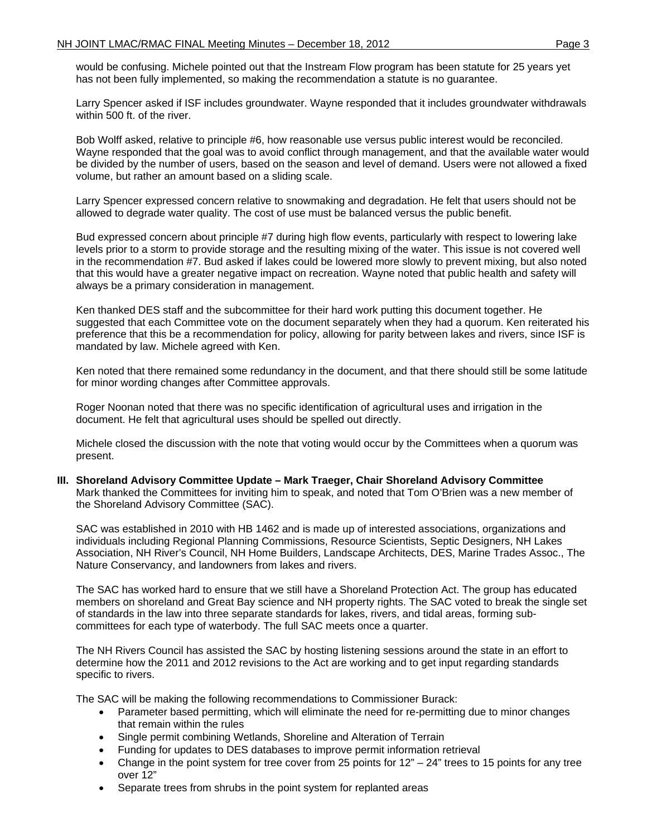would be confusing. Michele pointed out that the Instream Flow program has been statute for 25 years yet has not been fully implemented, so making the recommendation a statute is no guarantee.

Larry Spencer asked if ISF includes groundwater. Wayne responded that it includes groundwater withdrawals within 500 ft. of the river.

Bob Wolff asked, relative to principle #6, how reasonable use versus public interest would be reconciled. Wayne responded that the goal was to avoid conflict through management, and that the available water would be divided by the number of users, based on the season and level of demand. Users were not allowed a fixed volume, but rather an amount based on a sliding scale.

Larry Spencer expressed concern relative to snowmaking and degradation. He felt that users should not be allowed to degrade water quality. The cost of use must be balanced versus the public benefit.

Bud expressed concern about principle #7 during high flow events, particularly with respect to lowering lake levels prior to a storm to provide storage and the resulting mixing of the water. This issue is not covered well in the recommendation #7. Bud asked if lakes could be lowered more slowly to prevent mixing, but also noted that this would have a greater negative impact on recreation. Wayne noted that public health and safety will always be a primary consideration in management.

Ken thanked DES staff and the subcommittee for their hard work putting this document together. He suggested that each Committee vote on the document separately when they had a quorum. Ken reiterated his preference that this be a recommendation for policy, allowing for parity between lakes and rivers, since ISF is mandated by law. Michele agreed with Ken.

Ken noted that there remained some redundancy in the document, and that there should still be some latitude for minor wording changes after Committee approvals.

Roger Noonan noted that there was no specific identification of agricultural uses and irrigation in the document. He felt that agricultural uses should be spelled out directly.

Michele closed the discussion with the note that voting would occur by the Committees when a quorum was present.

**III. Shoreland Advisory Committee Update – Mark Traeger, Chair Shoreland Advisory Committee**  Mark thanked the Committees for inviting him to speak, and noted that Tom O'Brien was a new member of the Shoreland Advisory Committee (SAC).

SAC was established in 2010 with HB 1462 and is made up of interested associations, organizations and individuals including Regional Planning Commissions, Resource Scientists, Septic Designers, NH Lakes Association, NH River's Council, NH Home Builders, Landscape Architects, DES, Marine Trades Assoc., The Nature Conservancy, and landowners from lakes and rivers.

The SAC has worked hard to ensure that we still have a Shoreland Protection Act. The group has educated members on shoreland and Great Bay science and NH property rights. The SAC voted to break the single set of standards in the law into three separate standards for lakes, rivers, and tidal areas, forming subcommittees for each type of waterbody. The full SAC meets once a quarter.

The NH Rivers Council has assisted the SAC by hosting listening sessions around the state in an effort to determine how the 2011 and 2012 revisions to the Act are working and to get input regarding standards specific to rivers.

The SAC will be making the following recommendations to Commissioner Burack:

- Parameter based permitting, which will eliminate the need for re-permitting due to minor changes that remain within the rules
- Single permit combining Wetlands, Shoreline and Alteration of Terrain
- Funding for updates to DES databases to improve permit information retrieval
- Change in the point system for tree cover from 25 points for  $12<sup>n</sup> 24<sup>n</sup>$  trees to 15 points for any tree over 12"
- Separate trees from shrubs in the point system for replanted areas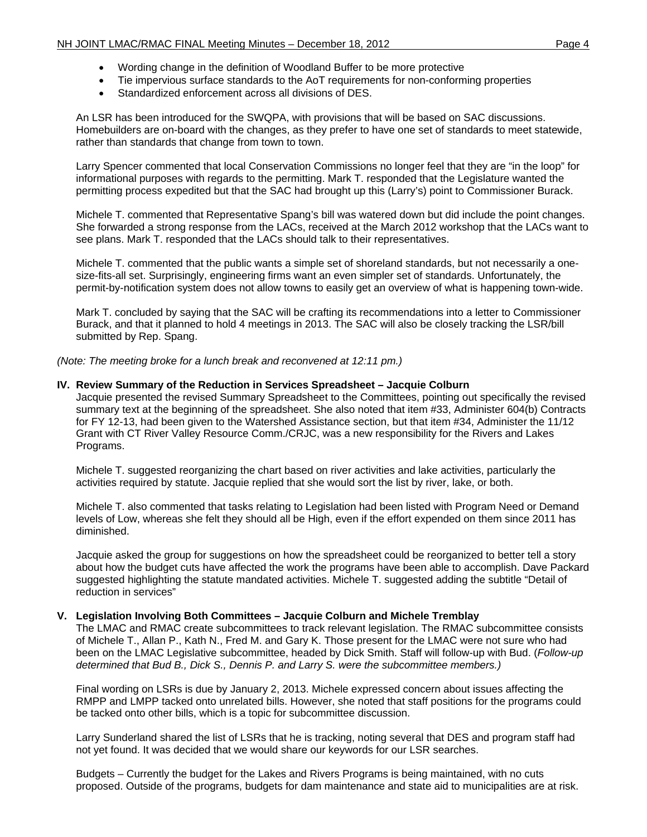- Wording change in the definition of Woodland Buffer to be more protective
- Tie impervious surface standards to the AoT requirements for non-conforming properties
- Standardized enforcement across all divisions of DES.

An LSR has been introduced for the SWQPA, with provisions that will be based on SAC discussions. Homebuilders are on-board with the changes, as they prefer to have one set of standards to meet statewide, rather than standards that change from town to town.

Larry Spencer commented that local Conservation Commissions no longer feel that they are "in the loop" for informational purposes with regards to the permitting. Mark T. responded that the Legislature wanted the permitting process expedited but that the SAC had brought up this (Larry's) point to Commissioner Burack.

Michele T. commented that Representative Spang's bill was watered down but did include the point changes. She forwarded a strong response from the LACs, received at the March 2012 workshop that the LACs want to see plans. Mark T. responded that the LACs should talk to their representatives.

Michele T. commented that the public wants a simple set of shoreland standards, but not necessarily a onesize-fits-all set. Surprisingly, engineering firms want an even simpler set of standards. Unfortunately, the permit-by-notification system does not allow towns to easily get an overview of what is happening town-wide.

Mark T. concluded by saying that the SAC will be crafting its recommendations into a letter to Commissioner Burack, and that it planned to hold 4 meetings in 2013. The SAC will also be closely tracking the LSR/bill submitted by Rep. Spang.

*(Note: The meeting broke for a lunch break and reconvened at 12:11 pm.)* 

#### **IV. Review Summary of the Reduction in Services Spreadsheet – Jacquie Colburn**

Jacquie presented the revised Summary Spreadsheet to the Committees, pointing out specifically the revised summary text at the beginning of the spreadsheet. She also noted that item #33, Administer 604(b) Contracts for FY 12-13, had been given to the Watershed Assistance section, but that item #34, Administer the 11/12 Grant with CT River Valley Resource Comm./CRJC, was a new responsibility for the Rivers and Lakes Programs.

Michele T. suggested reorganizing the chart based on river activities and lake activities, particularly the activities required by statute. Jacquie replied that she would sort the list by river, lake, or both.

Michele T. also commented that tasks relating to Legislation had been listed with Program Need or Demand levels of Low, whereas she felt they should all be High, even if the effort expended on them since 2011 has diminished.

Jacquie asked the group for suggestions on how the spreadsheet could be reorganized to better tell a story about how the budget cuts have affected the work the programs have been able to accomplish. Dave Packard suggested highlighting the statute mandated activities. Michele T. suggested adding the subtitle "Detail of reduction in services"

#### **V. Legislation Involving Both Committees – Jacquie Colburn and Michele Tremblay**

The LMAC and RMAC create subcommittees to track relevant legislation. The RMAC subcommittee consists of Michele T., Allan P., Kath N., Fred M. and Gary K. Those present for the LMAC were not sure who had been on the LMAC Legislative subcommittee, headed by Dick Smith. Staff will follow-up with Bud. (*Follow-up determined that Bud B., Dick S., Dennis P. and Larry S. were the subcommittee members.)*

Final wording on LSRs is due by January 2, 2013. Michele expressed concern about issues affecting the RMPP and LMPP tacked onto unrelated bills. However, she noted that staff positions for the programs could be tacked onto other bills, which is a topic for subcommittee discussion.

Larry Sunderland shared the list of LSRs that he is tracking, noting several that DES and program staff had not yet found. It was decided that we would share our keywords for our LSR searches.

Budgets – Currently the budget for the Lakes and Rivers Programs is being maintained, with no cuts proposed. Outside of the programs, budgets for dam maintenance and state aid to municipalities are at risk.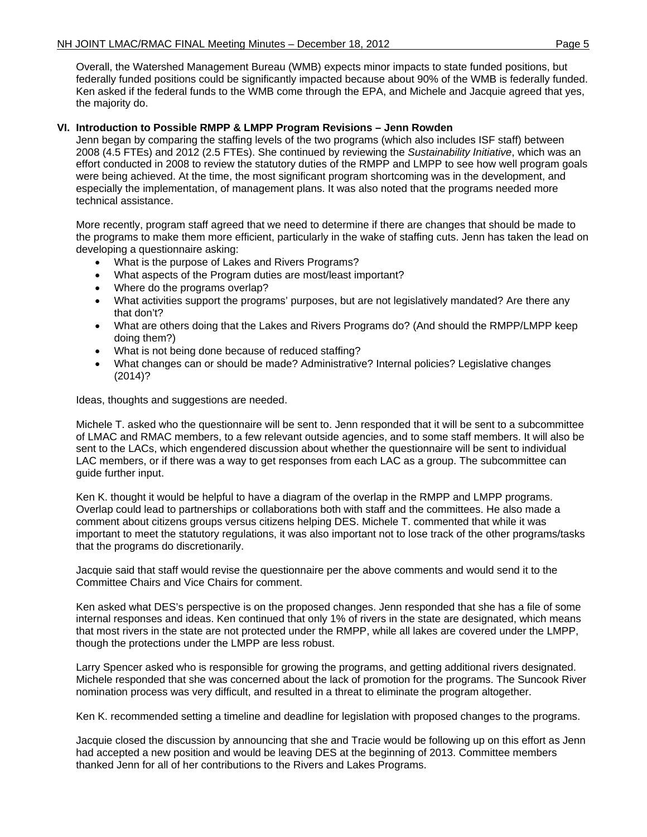Overall, the Watershed Management Bureau (WMB) expects minor impacts to state funded positions, but federally funded positions could be significantly impacted because about 90% of the WMB is federally funded. Ken asked if the federal funds to the WMB come through the EPA, and Michele and Jacquie agreed that yes, the majority do.

# **VI. Introduction to Possible RMPP & LMPP Program Revisions – Jenn Rowden**

Jenn began by comparing the staffing levels of the two programs (which also includes ISF staff) between 2008 (4.5 FTEs) and 2012 (2.5 FTEs). She continued by reviewing the *Sustainability Initiative*, which was an effort conducted in 2008 to review the statutory duties of the RMPP and LMPP to see how well program goals were being achieved. At the time, the most significant program shortcoming was in the development, and especially the implementation, of management plans. It was also noted that the programs needed more technical assistance.

More recently, program staff agreed that we need to determine if there are changes that should be made to the programs to make them more efficient, particularly in the wake of staffing cuts. Jenn has taken the lead on developing a questionnaire asking:

- What is the purpose of Lakes and Rivers Programs?
- What aspects of the Program duties are most/least important?
- Where do the programs overlap?
- What activities support the programs' purposes, but are not legislatively mandated? Are there any that don't?
- What are others doing that the Lakes and Rivers Programs do? (And should the RMPP/LMPP keep doing them?)
- What is not being done because of reduced staffing?
- What changes can or should be made? Administrative? Internal policies? Legislative changes (2014)?

Ideas, thoughts and suggestions are needed.

Michele T. asked who the questionnaire will be sent to. Jenn responded that it will be sent to a subcommittee of LMAC and RMAC members, to a few relevant outside agencies, and to some staff members. It will also be sent to the LACs, which engendered discussion about whether the questionnaire will be sent to individual LAC members, or if there was a way to get responses from each LAC as a group. The subcommittee can guide further input.

Ken K. thought it would be helpful to have a diagram of the overlap in the RMPP and LMPP programs. Overlap could lead to partnerships or collaborations both with staff and the committees. He also made a comment about citizens groups versus citizens helping DES. Michele T. commented that while it was important to meet the statutory regulations, it was also important not to lose track of the other programs/tasks that the programs do discretionarily.

Jacquie said that staff would revise the questionnaire per the above comments and would send it to the Committee Chairs and Vice Chairs for comment.

Ken asked what DES's perspective is on the proposed changes. Jenn responded that she has a file of some internal responses and ideas. Ken continued that only 1% of rivers in the state are designated, which means that most rivers in the state are not protected under the RMPP, while all lakes are covered under the LMPP, though the protections under the LMPP are less robust.

Larry Spencer asked who is responsible for growing the programs, and getting additional rivers designated. Michele responded that she was concerned about the lack of promotion for the programs. The Suncook River nomination process was very difficult, and resulted in a threat to eliminate the program altogether.

Ken K. recommended setting a timeline and deadline for legislation with proposed changes to the programs.

Jacquie closed the discussion by announcing that she and Tracie would be following up on this effort as Jenn had accepted a new position and would be leaving DES at the beginning of 2013. Committee members thanked Jenn for all of her contributions to the Rivers and Lakes Programs.